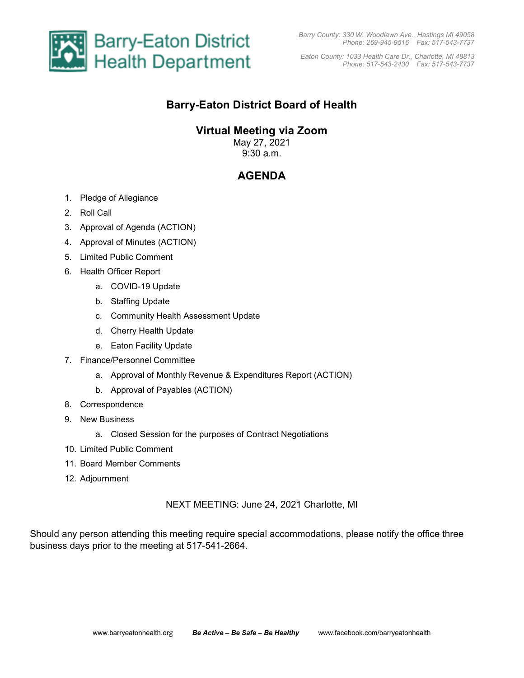

*Eaton County: 1033 Health Care Dr., Charlotte, MI 48813 Phone: 517-543-2430 Fax: 517-543-7737* 

## **Barry-Eaton District Board of Health**

## **Virtual Meeting via Zoom**

May 27, 2021 9:30 a.m.

# **AGENDA**

- 1. Pledge of Allegiance
- 2. Roll Call
- 3. Approval of Agenda (ACTION)
- 4. Approval of Minutes (ACTION)
- 5. Limited Public Comment
- 6. Health Officer Report
	- a. COVID-19 Update
	- b. Staffing Update
	- c. Community Health Assessment Update
	- d. Cherry Health Update
	- e. Eaton Facility Update
- 7. Finance/Personnel Committee
	- a. Approval of Monthly Revenue & Expenditures Report (ACTION)
	- b. Approval of Payables (ACTION)
- 8. Correspondence
- 9. New Business
	- a. Closed Session for the purposes of Contract Negotiations
- 10. Limited Public Comment
- 11. Board Member Comments
- 12. Adjournment

### NEXT MEETING: June 24, 2021 Charlotte, MI

Should any person attending this meeting require special accommodations, please notify the office three business days prior to the meeting at 517-541-2664.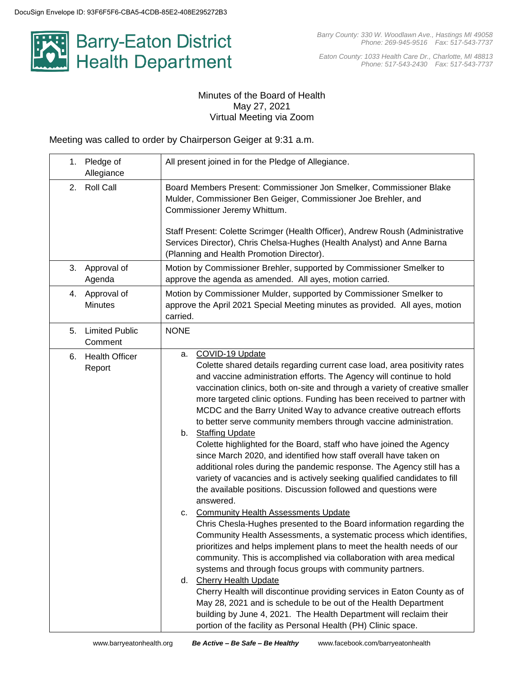

*Eaton County: 1033 Health Care Dr., Charlotte, MI 48813 Phone: 517-543-2430 Fax: 517-543-7737*

### Minutes of the Board of Health May 27, 2021 Virtual Meeting via Zoom

Meeting was called to order by Chairperson Geiger at 9:31 a.m.

| Pledge of<br>1.<br>Allegiance          | All present joined in for the Pledge of Allegiance.                                                                                                                                                                                                                                                                                                                                                                                                                                                                                                                                                                                                                                                                                                                                                                                                                                                                                                                                                                                                                                                                                                                                                                                                                                                                                                                                                                                                                                                                                                                                                                     |  |  |  |
|----------------------------------------|-------------------------------------------------------------------------------------------------------------------------------------------------------------------------------------------------------------------------------------------------------------------------------------------------------------------------------------------------------------------------------------------------------------------------------------------------------------------------------------------------------------------------------------------------------------------------------------------------------------------------------------------------------------------------------------------------------------------------------------------------------------------------------------------------------------------------------------------------------------------------------------------------------------------------------------------------------------------------------------------------------------------------------------------------------------------------------------------------------------------------------------------------------------------------------------------------------------------------------------------------------------------------------------------------------------------------------------------------------------------------------------------------------------------------------------------------------------------------------------------------------------------------------------------------------------------------------------------------------------------------|--|--|--|
| <b>Roll Call</b><br>2.                 | Board Members Present: Commissioner Jon Smelker, Commissioner Blake<br>Mulder, Commissioner Ben Geiger, Commissioner Joe Brehler, and<br>Commissioner Jeremy Whittum.<br>Staff Present: Colette Scrimger (Health Officer), Andrew Roush (Administrative                                                                                                                                                                                                                                                                                                                                                                                                                                                                                                                                                                                                                                                                                                                                                                                                                                                                                                                                                                                                                                                                                                                                                                                                                                                                                                                                                                 |  |  |  |
|                                        | Services Director), Chris Chelsa-Hughes (Health Analyst) and Anne Barna<br>(Planning and Health Promotion Director).                                                                                                                                                                                                                                                                                                                                                                                                                                                                                                                                                                                                                                                                                                                                                                                                                                                                                                                                                                                                                                                                                                                                                                                                                                                                                                                                                                                                                                                                                                    |  |  |  |
| Approval of<br>3.<br>Agenda            | Motion by Commissioner Brehler, supported by Commissioner Smelker to<br>approve the agenda as amended. All ayes, motion carried.                                                                                                                                                                                                                                                                                                                                                                                                                                                                                                                                                                                                                                                                                                                                                                                                                                                                                                                                                                                                                                                                                                                                                                                                                                                                                                                                                                                                                                                                                        |  |  |  |
| Approval of<br>4.<br><b>Minutes</b>    | Motion by Commissioner Mulder, supported by Commissioner Smelker to<br>approve the April 2021 Special Meeting minutes as provided. All ayes, motion<br>carried.                                                                                                                                                                                                                                                                                                                                                                                                                                                                                                                                                                                                                                                                                                                                                                                                                                                                                                                                                                                                                                                                                                                                                                                                                                                                                                                                                                                                                                                         |  |  |  |
| <b>Limited Public</b><br>5.<br>Comment | <b>NONE</b>                                                                                                                                                                                                                                                                                                                                                                                                                                                                                                                                                                                                                                                                                                                                                                                                                                                                                                                                                                                                                                                                                                                                                                                                                                                                                                                                                                                                                                                                                                                                                                                                             |  |  |  |
| <b>Health Officer</b><br>6.<br>Report  | COVID-19 Update<br>а.<br>Colette shared details regarding current case load, area positivity rates<br>and vaccine administration efforts. The Agency will continue to hold<br>vaccination clinics, both on-site and through a variety of creative smaller<br>more targeted clinic options. Funding has been received to partner with<br>MCDC and the Barry United Way to advance creative outreach efforts<br>to better serve community members through vaccine administration.<br>b. Staffing Update<br>Colette highlighted for the Board, staff who have joined the Agency<br>since March 2020, and identified how staff overall have taken on<br>additional roles during the pandemic response. The Agency still has a<br>variety of vacancies and is actively seeking qualified candidates to fill<br>the available positions. Discussion followed and questions were<br>answered.<br><b>Community Health Assessments Update</b><br>c.<br>Chris Chesla-Hughes presented to the Board information regarding the<br>Community Health Assessments, a systematic process which identifies,<br>prioritizes and helps implement plans to meet the health needs of our<br>community. This is accomplished via collaboration with area medical<br>systems and through focus groups with community partners.<br>d. Cherry Health Update<br>Cherry Health will discontinue providing services in Eaton County as of<br>May 28, 2021 and is schedule to be out of the Health Department<br>building by June 4, 2021. The Health Department will reclaim their<br>portion of the facility as Personal Health (PH) Clinic space. |  |  |  |